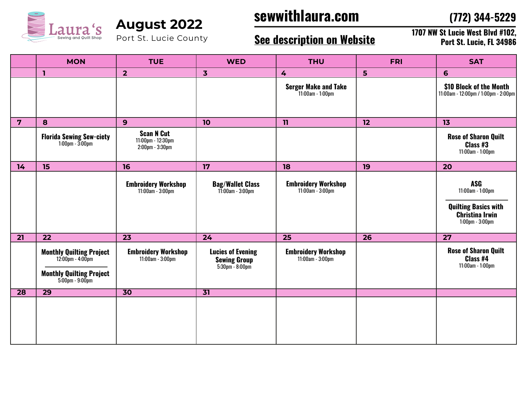

Port St. Lucie County

# **sewwithlaura.com August 2022**

**(772) 344-5229**

### **See description on Website**

**1707 NW St Lucie West Blvd #102, Port St. Lucie, FL 34986**

|                | <b>MON</b>                                                                                                            | <b>TUE</b>                                                      | <b>WED</b>                                                               | <b>THU</b>                                         | <b>FRI</b> | <b>SAT</b>                                                                                                       |
|----------------|-----------------------------------------------------------------------------------------------------------------------|-----------------------------------------------------------------|--------------------------------------------------------------------------|----------------------------------------------------|------------|------------------------------------------------------------------------------------------------------------------|
|                | $\mathbf{I}$                                                                                                          | $\overline{2}$                                                  | $\overline{\mathbf{3}}$                                                  | $\overline{4}$                                     | 5          | 6                                                                                                                |
|                |                                                                                                                       |                                                                 |                                                                          | <b>Serger Make and Take</b><br>$11:00$ am - 1:00pm |            | \$10 Block of the Month<br>11:00am - 12:00pm / 1:00pm - 2:00pm                                                   |
| $\overline{7}$ | 8                                                                                                                     | 9                                                               | 10                                                                       | 11                                                 | 12         | 13                                                                                                               |
|                | <b>Florida Sewing Sew-ciety</b><br>$1:00 \text{pm} - 3:00 \text{pm}$                                                  | <b>Scan N Cut</b><br>11:00pm - 12:30pm<br>$2:00$ pm - $3:30$ pm |                                                                          |                                                    |            | <b>Rose of Sharon Quilt</b><br>Class #3<br>11:00am - 1:00pm                                                      |
| 14             | 15                                                                                                                    | 16                                                              | 17                                                                       | 18                                                 | 19         | 20                                                                                                               |
|                |                                                                                                                       | <b>Embroidery Workshop</b><br>11:00am - 3:00pm                  | <b>Bag/Wallet Class</b><br>11:00am - 3:00pm                              | <b>Embroidery Workshop</b><br>11:00am - 3:00pm     |            | <b>ASG</b><br>11:00am - 1:00pm<br><b>Quilting Basics with</b><br><b>Christina Irwin</b><br>$1:00$ pm - $3:00$ pm |
| 21             | 22                                                                                                                    | 23                                                              | 24                                                                       | 25                                                 | 26         | 27                                                                                                               |
|                | <b>Monthly Quilting Project</b><br>$12.00$ pm - $4.00$ pm<br><b>Monthly Quilting Project</b><br>$5.00$ pm - $9.00$ pm | <b>Embroidery Workshop</b><br>11:00am - 3:00pm                  | <b>Lucies of Evening</b><br><b>Sewing Group</b><br>$5:30$ pm - $8:00$ pm | <b>Embroidery Workshop</b><br>11:00am - 3:00pm     |            | <b>Rose of Sharon Quilt</b><br>Class #4<br>11:00am - 1:00pm                                                      |
| 28             | $\overline{29}$                                                                                                       | $\overline{30}$                                                 | $\overline{31}$                                                          |                                                    |            |                                                                                                                  |
|                |                                                                                                                       |                                                                 |                                                                          |                                                    |            |                                                                                                                  |